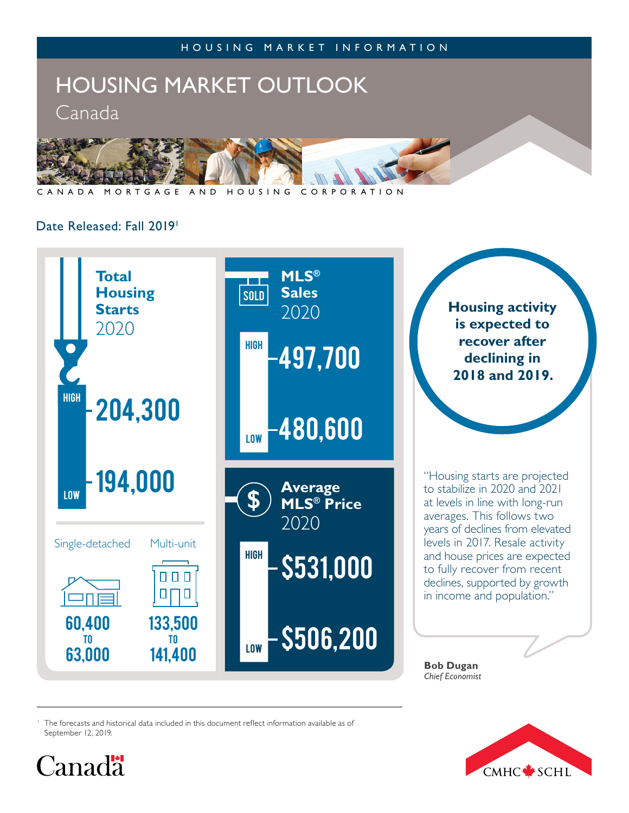

NADA MORTGAGE AND HOUSING CORPORATION

## Date Released: Fall 2019<sup>1</sup>



<sup>1</sup> The forecasts and historical data included in this document reflect information available as of September 12, 2019.



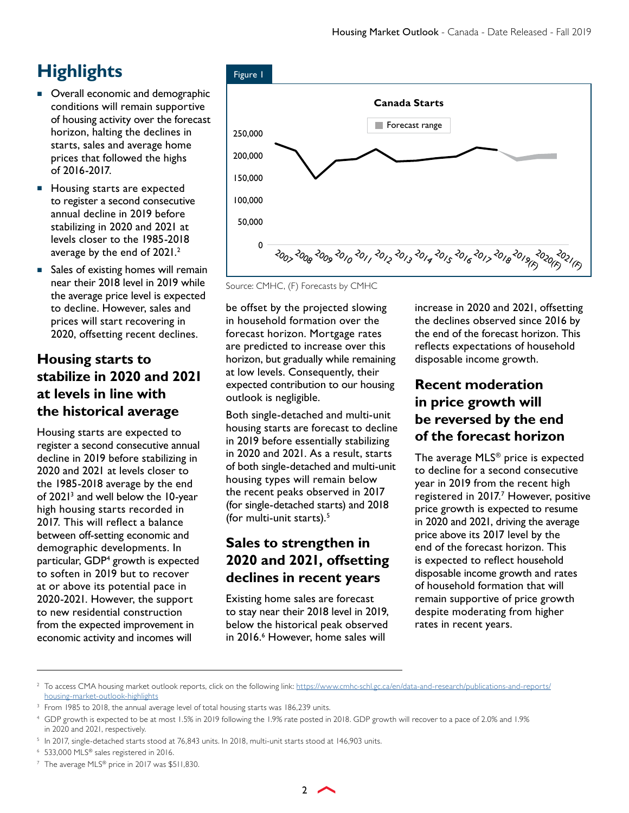# **Highlights**

- Overall economic and demographic conditions will remain supportive of housing activity over the forecast horizon, halting the declines in starts, sales and average home prices that followed the highs of 2016-2017.
- **Housing starts are expected** to register a second consecutive annual decline in 2019 before stabilizing in 2020 and 2021 at levels closer to the 1985-2018 average by the end of 2021.2
- Sales of existing homes will remain near their 2018 level in 2019 while the average price level is expected to decline. However, sales and prices will start recovering in 2020, offsetting recent declines.

# **Housing starts to stabilize in 2020 and 2021 at levels in line with the historical average**

Housing starts are expected to register a second consecutive annual decline in 2019 before stabilizing in 2020 and 2021 at levels closer to the 1985-2018 average by the end of 2021<sup>3</sup> and well below the 10-year high housing starts recorded in 2017. This will reflect a balance between off-setting economic and demographic developments. In particular, GDP4 growth is expected to soften in 2019 but to recover at or above its potential pace in 2020-2021. However, the support to new residential construction from the expected improvement in economic activity and incomes will



Source: CMHC, (F) Forecasts by CMHC

be offset by the projected slowing in household formation over the forecast horizon. Mortgage rates are predicted to increase over this horizon, but gradually while remaining at low levels. Consequently, their expected contribution to our housing outlook is negligible.

Both single-detached and multi-unit housing starts are forecast to decline in 2019 before essentially stabilizing in 2020 and 2021. As a result, starts of both single-detached and multi-unit housing types will remain below the recent peaks observed in 2017 (for single-detached starts) and 2018 (for multi-unit starts). $5$ 

# **Sales to strengthen in 2020 and 2021, offsetting declines in recent years**

Existing home sales are forecast to stay near their 2018 level in 2019, below the historical peak observed in 2016.<sup>6</sup> However, home sales will

increase in 2020 and 2021, offsetting the declines observed since 2016 by the end of the forecast horizon. This reflects expectations of household disposable income growth.

# **Recent moderation in price growth will be reversed by the end of the forecast horizon**

The average MLS® price is expected to decline for a second consecutive year in 2019 from the recent high registered in 2017.<sup>7</sup> However, positive price growth is expected to resume in 2020 and 2021, driving the average price above its 2017 level by the end of the forecast horizon. This is expected to reflect household disposable income growth and rates of household formation that will remain supportive of price growth despite moderating from higher rates in recent years.

<sup>7</sup> The average MLS® price in 2017 was \$511,830.

<sup>&</sup>lt;sup>2</sup> To access CMA housing market outlook reports, click on the following link: [https://www.cmhc-schl.gc.ca/en/data-and-research/publications-and-reports/](https://www.cmhc-schl.gc.ca/en/data-and-research/publications-and-reports/housing-market-outlook-highlights) [housing-market-outlook-highlights](https://www.cmhc-schl.gc.ca/en/data-and-research/publications-and-reports/housing-market-outlook-highlights)

<sup>&</sup>lt;sup>3</sup> From 1985 to 2018, the annual average level of total housing starts was 186,239 units.

<sup>4</sup> GDP growth is expected to be at most 1.5% in 2019 following the 1.9% rate posted in 2018. GDP growth will recover to a pace of 2.0% and 1.9% in 2020 and 2021, respectively.

<sup>&</sup>lt;sup>5</sup> In 2017, single-detached starts stood at 76,843 units. In 2018, multi-unit starts stood at 146,903 units.

<sup>6</sup> 533,000 MLS® sales registered in 2016.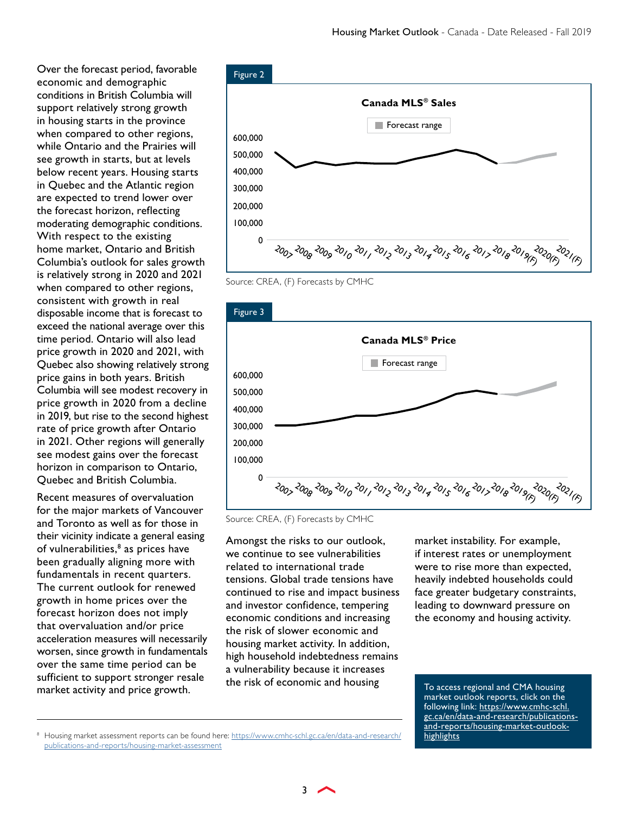Over the forecast period, favorable economic and demographic conditions in British Columbia will support relatively strong growth in housing starts in the province when compared to other regions, while Ontario and the Prairies will see growth in starts, but at levels below recent years. Housing starts in Quebec and the Atlantic region are expected to trend lower over the forecast horizon, reflecting moderating demographic conditions. With respect to the existing home market, Ontario and British Columbia's outlook for sales growth is relatively strong in 2020 and 2021 when compared to other regions, consistent with growth in real disposable income that is forecast to exceed the national average over this time period. Ontario will also lead price growth in 2020 and 2021, with Quebec also showing relatively strong price gains in both years. British Columbia will see modest recovery in price growth in 2020 from a decline in 2019, but rise to the second highest rate of price growth after Ontario in 2021. Other regions will generally see modest gains over the forecast horizon in comparison to Ontario, Quebec and British Columbia.

Recent measures of overvaluation for the major markets of Vancouver and Toronto as well as for those in their vicinity indicate a general easing of vulnerabilities,<sup>8</sup> as prices have been gradually aligning more with fundamentals in recent quarters. The current outlook for renewed growth in home prices over the forecast horizon does not imply that overvaluation and/or price acceleration measures will necessarily worsen, since growth in fundamentals over the same time period can be sufficient to support stronger resale market activity and price growth.



Source: CREA, (F) Forecasts by CMHC



Source: CREA, (F) Forecasts by CMHC

Amongst the risks to our outlook, we continue to see vulnerabilities related to international trade tensions. Global trade tensions have continued to rise and impact business and investor confidence, tempering economic conditions and increasing the risk of slower economic and housing market activity. In addition, high household indebtedness remains a vulnerability because it increases the risk of economic and housing

market instability. For example, if interest rates or unemployment were to rise more than expected, heavily indebted households could face greater budgetary constraints, leading to downward pressure on the economy and housing activity.

To access regional and CMA housing market outlook reports, click on the following link: [https://www.cmhc-schl.](https://www.cmhc-schl.gc.ca/en/data-and-research/publications-and-reports/housing-market-outlook-highlights) [gc.ca/en/data-and-research/publications](https://www.cmhc-schl.gc.ca/en/data-and-research/publications-and-reports/housing-market-outlook-highlights)[and-reports/housing-market-outlook](https://www.cmhc-schl.gc.ca/en/data-and-research/publications-and-reports/housing-market-outlook-highlights)**[highlights](https://www.cmhc-schl.gc.ca/en/data-and-research/publications-and-reports/housing-market-outlook-highlights)** 

<sup>8</sup> Housing market assessment reports can be found here: [https://www.cmhc-schl.gc.ca/en/data-and-research/](https://www.cmhc-schl.gc.ca/en/data-and-research/publications-and-reports/housing-market-assessment) [publications-and-reports/housing-market-assessment](https://www.cmhc-schl.gc.ca/en/data-and-research/publications-and-reports/housing-market-assessment)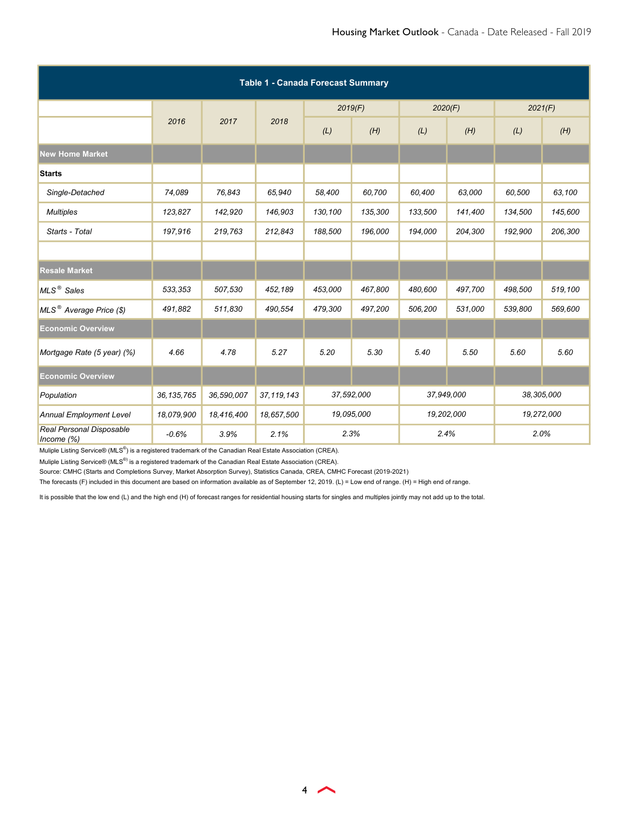| <b>Table 1 - Canada Forecast Summary</b>  |              |            |              |            |         |            |            |            |         |  |
|-------------------------------------------|--------------|------------|--------------|------------|---------|------------|------------|------------|---------|--|
|                                           |              |            |              | 2019(F)    |         | 2020(F)    |            | 2021(F)    |         |  |
|                                           | 2016         | 2017       | 2018         | (L)        | (H)     | (L)        | (H)        | (L)        | (H)     |  |
| <b>New Home Market</b>                    |              |            |              |            |         |            |            |            |         |  |
| <b>Starts</b>                             |              |            |              |            |         |            |            |            |         |  |
| Single-Detached                           | 74,089       | 76,843     | 65,940       | 58,400     | 60,700  | 60,400     | 63,000     | 60,500     | 63,100  |  |
| <b>Multiples</b>                          | 123,827      | 142,920    | 146,903      | 130,100    | 135,300 | 133,500    | 141,400    | 134,500    | 145,600 |  |
| Starts - Total                            | 197,916      | 219,763    | 212,843      | 188,500    | 196,000 | 194,000    | 204,300    | 192,900    | 206,300 |  |
|                                           |              |            |              |            |         |            |            |            |         |  |
| <b>Resale Market</b>                      |              |            |              |            |         |            |            |            |         |  |
| MLS <sup>®</sup> Sales                    | 533,353      | 507,530    | 452,189      | 453,000    | 467,800 | 480,600    | 497,700    | 498,500    | 519,100 |  |
| MLS <sup>®</sup> Average Price (\$)       | 491,882      | 511,830    | 490,554      | 479,300    | 497,200 | 506,200    | 531,000    | 539,800    | 569,600 |  |
| <b>Economic Overview</b>                  |              |            |              |            |         |            |            |            |         |  |
| Mortgage Rate (5 year) (%)                | 4.66         | 4.78       | 5.27         | 5.20       | 5.30    | 5.40       | 5.50       | 5.60       | 5.60    |  |
| <b>Economic Overview</b>                  |              |            |              |            |         |            |            |            |         |  |
| Population                                | 36, 135, 765 | 36,590,007 | 37, 119, 143 | 37,592,000 |         |            | 37,949,000 | 38,305,000 |         |  |
| <b>Annual Employment Level</b>            | 18,079,900   | 18,416,400 | 18,657,500   | 19,095,000 |         | 19,202,000 |            | 19,272,000 |         |  |
| Real Personal Disposable<br>Income $(\%)$ | $-0.6%$      | 3.9%       | 2.1%         | 2.3%       |         | 2.4%       |            | 2.0%       |         |  |

Muliple Listing Service® (MLS®) is a registered trademark of the Canadian Real Estate Association (CREA).

Source: CMHC (Starts and Completions Survey, Market Absorption Survey), Statistics Canada, CREA, CMHC Forecast (2019-2021)

The forecasts (F) included in this document are based on information available as of September 12, 2019. (L) = Low end of range. (H) = High end of range.

It is possible that the low end (L) and the high end (H) of forecast ranges for residential housing starts for singles and multiples jointly may not add up to the total.

 $\leftrightarrow$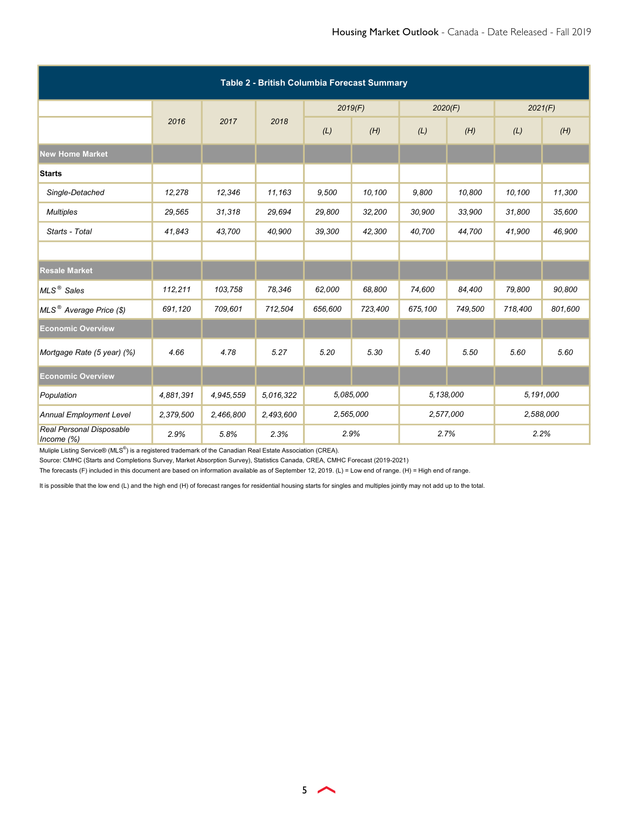| Table 2 - British Columbia Forecast Summary |           |           |           |           |         |           |         |           |         |  |  |
|---------------------------------------------|-----------|-----------|-----------|-----------|---------|-----------|---------|-----------|---------|--|--|
|                                             |           |           |           | 2019(F)   |         | 2020(F)   |         | 2021(F)   |         |  |  |
|                                             | 2016      | 2017      | 2018      | (L)       | (H)     | (L)       | (H)     | (L)       | (H)     |  |  |
| <b>New Home Market</b>                      |           |           |           |           |         |           |         |           |         |  |  |
| <b>Starts</b>                               |           |           |           |           |         |           |         |           |         |  |  |
| Single-Detached                             | 12,278    | 12,346    | 11,163    | 9,500     | 10,100  | 9,800     | 10,800  | 10,100    | 11,300  |  |  |
| <b>Multiples</b>                            | 29,565    | 31,318    | 29,694    | 29,800    | 32,200  | 30,900    | 33,900  | 31,800    | 35,600  |  |  |
| Starts - Total                              | 41,843    | 43,700    | 40,900    | 39,300    | 42,300  | 40,700    | 44,700  | 41,900    | 46,900  |  |  |
|                                             |           |           |           |           |         |           |         |           |         |  |  |
| <b>Resale Market</b>                        |           |           |           |           |         |           |         |           |         |  |  |
| MLS <sup>®</sup> Sales                      | 112,211   | 103,758   | 78,346    | 62,000    | 68,800  | 74,600    | 84,400  | 79,800    | 90,800  |  |  |
| MLS <sup>®</sup> Average Price (\$)         | 691,120   | 709,601   | 712,504   | 656,600   | 723,400 | 675,100   | 749,500 | 718,400   | 801,600 |  |  |
| <b>Economic Overview</b>                    |           |           |           |           |         |           |         |           |         |  |  |
| Mortgage Rate (5 year) (%)                  | 4.66      | 4.78      | 5.27      | 5.20      | 5.30    | 5.40      | 5.50    | 5.60      | 5.60    |  |  |
| <b>Economic Overview</b>                    |           |           |           |           |         |           |         |           |         |  |  |
| Population                                  | 4,881,391 | 4,945,559 | 5,016,322 | 5,085,000 |         | 5,138,000 |         | 5,191,000 |         |  |  |
| Annual Employment Level                     | 2,379,500 | 2,466,800 | 2,493,600 | 2,565,000 |         | 2,577,000 |         | 2,588,000 |         |  |  |
| Real Personal Disposable<br>Income $(\%)$   | 2.9%      | 5.8%      | 2.3%      | 2.9%      |         | 2.7%      |         | 2.2%      |         |  |  |

Source: CMHC (Starts and Completions Survey, Market Absorption Survey), Statistics Canada, CREA, CMHC Forecast (2019-2021)

The forecasts (F) included in this document are based on information available as of September 12, 2019. (L) = Low end of range. (H) = High end of range.

It is possible that the low end (L) and the high end (H) of forecast ranges for residential housing starts for singles and multiples jointly may not add up to the total.

 $5<sub>2</sub>$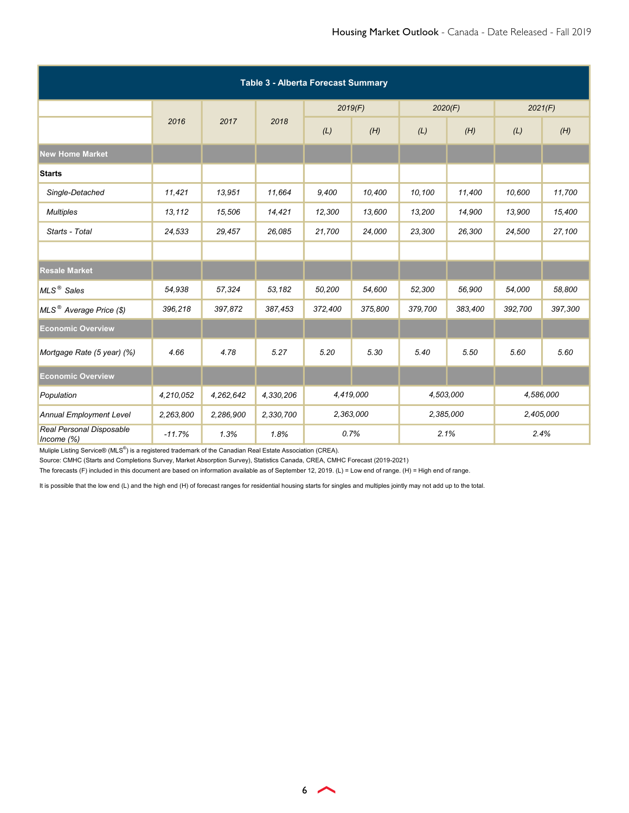| <b>Table 3 - Alberta Forecast Summary</b> |           |           |           |           |         |           |         |           |         |  |  |
|-------------------------------------------|-----------|-----------|-----------|-----------|---------|-----------|---------|-----------|---------|--|--|
|                                           |           |           |           | 2019(F)   |         | 2020(F)   |         | 2021(F)   |         |  |  |
|                                           | 2016      | 2017      | 2018      | (L)       | (H)     | (L)       | (H)     | (L)       | (H)     |  |  |
| <b>New Home Market</b>                    |           |           |           |           |         |           |         |           |         |  |  |
| <b>Starts</b>                             |           |           |           |           |         |           |         |           |         |  |  |
| Single-Detached                           | 11,421    | 13,951    | 11,664    | 9,400     | 10,400  | 10,100    | 11,400  | 10,600    | 11,700  |  |  |
| <b>Multiples</b>                          | 13,112    | 15,506    | 14,421    | 12,300    | 13,600  | 13,200    | 14,900  | 13,900    | 15,400  |  |  |
| Starts - Total                            | 24,533    | 29,457    | 26,085    | 21,700    | 24,000  | 23,300    | 26,300  | 24,500    | 27,100  |  |  |
|                                           |           |           |           |           |         |           |         |           |         |  |  |
| <b>Resale Market</b>                      |           |           |           |           |         |           |         |           |         |  |  |
| MLS <sup>®</sup> Sales                    | 54,938    | 57,324    | 53,182    | 50,200    | 54,600  | 52,300    | 56,900  | 54,000    | 58,800  |  |  |
| MLS <sup>®</sup> Average Price (\$)       | 396,218   | 397,872   | 387,453   | 372,400   | 375,800 | 379,700   | 383,400 | 392,700   | 397,300 |  |  |
| <b>Economic Overview</b>                  |           |           |           |           |         |           |         |           |         |  |  |
| Mortgage Rate (5 year) (%)                | 4.66      | 4.78      | 5.27      | 5.20      | 5.30    | 5.40      | 5.50    | 5.60      | 5.60    |  |  |
| <b>Economic Overview</b>                  |           |           |           |           |         |           |         |           |         |  |  |
| Population                                | 4,210,052 | 4,262,642 | 4,330,206 | 4,419,000 |         | 4,503,000 |         | 4,586,000 |         |  |  |
| <b>Annual Employment Level</b>            | 2,263,800 | 2,286,900 | 2,330,700 | 2,363,000 |         | 2,385,000 |         | 2,405,000 |         |  |  |
| Real Personal Disposable<br>Income $(\%)$ | $-11.7%$  | 1.3%      | 1.8%      | 0.7%      |         | 2.1%      |         | 2.4%      |         |  |  |

Source: CMHC (Starts and Completions Survey, Market Absorption Survey), Statistics Canada, CREA, CMHC Forecast (2019-2021)

The forecasts (F) included in this document are based on information available as of September 12, 2019. (L) = Low end of range. (H) = High end of range.

It is possible that the low end (L) and the high end (H) of forecast ranges for residential housing starts for singles and multiples jointly may not add up to the total.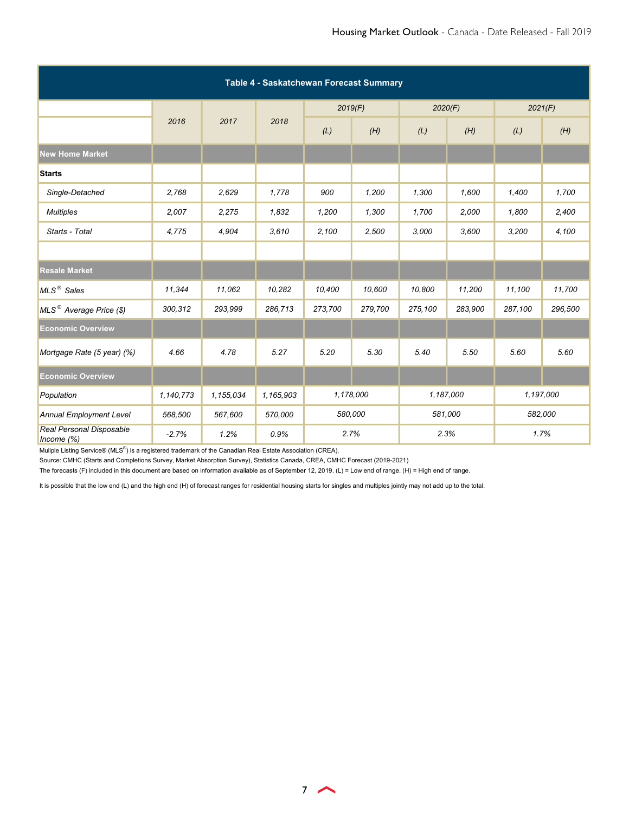| Table 4 - Saskatchewan Forecast Summary   |           |           |           |           |         |         |           |         |           |  |
|-------------------------------------------|-----------|-----------|-----------|-----------|---------|---------|-----------|---------|-----------|--|
|                                           |           |           |           | 2019(F)   |         | 2020(F) |           | 2021(F) |           |  |
|                                           | 2016      | 2017      | 2018      | (L)       | (H)     | (L)     | (H)       | (L)     | (H)       |  |
| <b>New Home Market</b>                    |           |           |           |           |         |         |           |         |           |  |
| <b>Starts</b>                             |           |           |           |           |         |         |           |         |           |  |
| Single-Detached                           | 2,768     | 2,629     | 1,778     | 900       | 1,200   | 1,300   | 1,600     | 1,400   | 1,700     |  |
| <b>Multiples</b>                          | 2,007     | 2,275     | 1,832     | 1,200     | 1,300   | 1,700   | 2,000     | 1,800   | 2,400     |  |
| Starts - Total                            | 4,775     | 4,904     | 3,610     | 2,100     | 2,500   | 3,000   | 3,600     | 3,200   | 4,100     |  |
|                                           |           |           |           |           |         |         |           |         |           |  |
| <b>Resale Market</b>                      |           |           |           |           |         |         |           |         |           |  |
| MLS <sup>®</sup> Sales                    | 11,344    | 11,062    | 10,282    | 10,400    | 10,600  | 10,800  | 11,200    | 11,100  | 11,700    |  |
| MLS <sup>®</sup> Average Price (\$)       | 300,312   | 293,999   | 286,713   | 273,700   | 279,700 | 275,100 | 283,900   | 287,100 | 296,500   |  |
| <b>Economic Overview</b>                  |           |           |           |           |         |         |           |         |           |  |
| Mortgage Rate (5 year) (%)                | 4.66      | 4.78      | 5.27      | 5.20      | 5.30    | 5.40    | 5.50      | 5.60    | 5.60      |  |
| <b>Economic Overview</b>                  |           |           |           |           |         |         |           |         |           |  |
| Population                                | 1,140,773 | 1,155,034 | 1,165,903 | 1,178,000 |         |         | 1,187,000 |         | 1,197,000 |  |
| <b>Annual Employment Level</b>            | 568,500   | 567,600   | 570,000   | 580,000   |         | 581,000 |           | 582,000 |           |  |
| Real Personal Disposable<br>Income $(\%)$ | $-2.7%$   | 1.2%      | 0.9%      | 2.7%      |         | 2.3%    |           | 1.7%    |           |  |

Source: CMHC (Starts and Completions Survey, Market Absorption Survey), Statistics Canada, CREA, CMHC Forecast (2019-2021)

The forecasts (F) included in this document are based on information available as of September 12, 2019. (L) = Low end of range. (H) = High end of range.

It is possible that the low end (L) and the high end (H) of forecast ranges for residential housing starts for singles and multiples jointly may not add up to the total.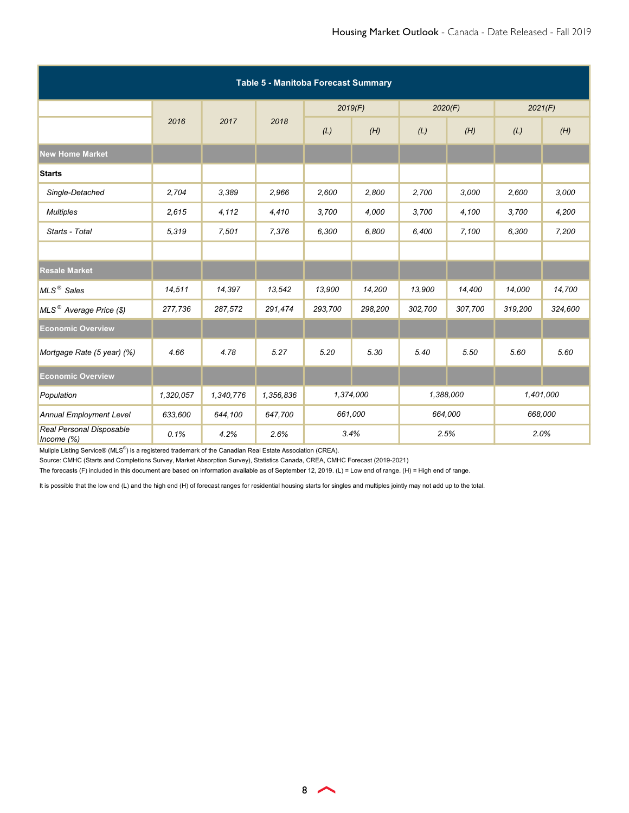| Table 5 - Manitoba Forecast Summary       |           |           |           |           |         |           |         |           |         |  |  |
|-------------------------------------------|-----------|-----------|-----------|-----------|---------|-----------|---------|-----------|---------|--|--|
|                                           |           |           |           | 2019(F)   |         | 2020(F)   |         | 2021(F)   |         |  |  |
|                                           | 2016      | 2017      | 2018      | (L)       | (H)     | (L)       | (H)     | (L)       | (H)     |  |  |
| <b>New Home Market</b>                    |           |           |           |           |         |           |         |           |         |  |  |
| <b>Starts</b>                             |           |           |           |           |         |           |         |           |         |  |  |
| Single-Detached                           | 2,704     | 3,389     | 2,966     | 2,600     | 2,800   | 2,700     | 3.000   | 2,600     | 3,000   |  |  |
| <b>Multiples</b>                          | 2,615     | 4,112     | 4,410     | 3,700     | 4,000   | 3,700     | 4,100   | 3,700     | 4,200   |  |  |
| Starts - Total                            | 5,319     | 7,501     | 7,376     | 6,300     | 6,800   | 6,400     | 7,100   | 6,300     | 7,200   |  |  |
|                                           |           |           |           |           |         |           |         |           |         |  |  |
| <b>Resale Market</b>                      |           |           |           |           |         |           |         |           |         |  |  |
| MLS <sup>®</sup> Sales                    | 14,511    | 14,397    | 13,542    | 13,900    | 14,200  | 13,900    | 14,400  | 14,000    | 14,700  |  |  |
| MLS <sup>®</sup> Average Price (\$)       | 277,736   | 287,572   | 291,474   | 293,700   | 298,200 | 302,700   | 307,700 | 319,200   | 324,600 |  |  |
| <b>Economic Overview</b>                  |           |           |           |           |         |           |         |           |         |  |  |
| Mortgage Rate (5 year) (%)                | 4.66      | 4.78      | 5.27      | 5.20      | 5.30    | 5.40      | 5.50    | 5.60      | 5.60    |  |  |
| <b>Economic Overview</b>                  |           |           |           |           |         |           |         |           |         |  |  |
| Population                                | 1,320,057 | 1,340,776 | 1,356,836 | 1,374,000 |         | 1,388,000 |         | 1,401,000 |         |  |  |
| <b>Annual Employment Level</b>            | 633,600   | 644,100   | 647,700   | 661,000   |         | 664,000   |         | 668,000   |         |  |  |
| Real Personal Disposable<br>Income $(\%)$ | 0.1%      | 4.2%      | 2.6%      | 3.4%      |         | 2.5%      |         | 2.0%      |         |  |  |

Source: CMHC (Starts and Completions Survey, Market Absorption Survey), Statistics Canada, CREA, CMHC Forecast (2019-2021)

The forecasts (F) included in this document are based on information available as of September 12, 2019. (L) = Low end of range. (H) = High end of range.

It is possible that the low end (L) and the high end (H) of forecast ranges for residential housing starts for singles and multiples jointly may not add up to the total.

8 **A**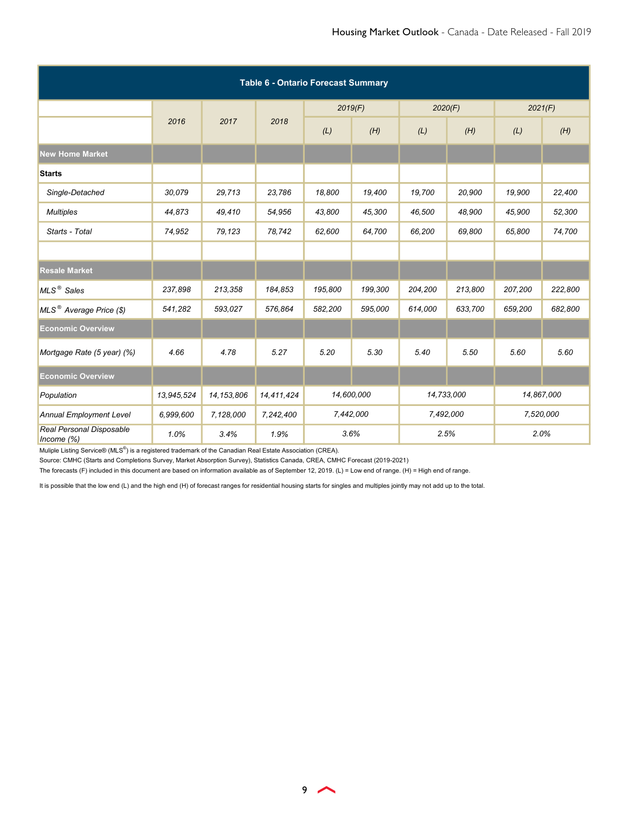| <b>Table 6 - Ontario Forecast Summary</b> |            |              |            |            |         |            |         |            |         |  |
|-------------------------------------------|------------|--------------|------------|------------|---------|------------|---------|------------|---------|--|
|                                           |            |              |            | 2019(F)    |         | 2020(F)    |         | 2021(F)    |         |  |
|                                           | 2016       | 2017         | 2018       | (L)        | (H)     | (L)        | (H)     | (L)        | (H)     |  |
| <b>New Home Market</b>                    |            |              |            |            |         |            |         |            |         |  |
| <b>Starts</b>                             |            |              |            |            |         |            |         |            |         |  |
| Single-Detached                           | 30,079     | 29,713       | 23,786     | 18,800     | 19,400  | 19,700     | 20,900  | 19,900     | 22,400  |  |
| <b>Multiples</b>                          | 44,873     | 49,410       | 54,956     | 43,800     | 45,300  | 46,500     | 48,900  | 45,900     | 52,300  |  |
| Starts - Total                            | 74,952     | 79,123       | 78,742     | 62,600     | 64,700  | 66,200     | 69,800  | 65,800     | 74,700  |  |
|                                           |            |              |            |            |         |            |         |            |         |  |
| <b>Resale Market</b>                      |            |              |            |            |         |            |         |            |         |  |
| MLS <sup>®</sup> Sales                    | 237,898    | 213,358      | 184,853    | 195,800    | 199,300 | 204,200    | 213,800 | 207,200    | 222,800 |  |
| $MLS^{\circledcirc}$ Average Price (\$)   | 541,282    | 593,027      | 576,864    | 582,200    | 595,000 | 614,000    | 633,700 | 659,200    | 682,800 |  |
| <b>Economic Overview</b>                  |            |              |            |            |         |            |         |            |         |  |
| Mortgage Rate (5 year) (%)                | 4.66       | 4.78         | 5.27       | 5.20       | 5.30    | 5.40       | 5.50    | 5.60       | 5.60    |  |
| <b>Economic Overview</b>                  |            |              |            |            |         |            |         |            |         |  |
| Population                                | 13,945,524 | 14, 153, 806 | 14,411,424 | 14,600,000 |         | 14,733,000 |         | 14,867,000 |         |  |
| <b>Annual Employment Level</b>            | 6,999,600  | 7,128,000    | 7,242,400  | 7,442,000  |         | 7,492,000  |         | 7,520,000  |         |  |
| Real Personal Disposable<br>Income $(\%)$ | 1.0%       | 3.4%         | 1.9%       | 3.6%       |         | 2.5%       |         | 2.0%       |         |  |

Source: CMHC (Starts and Completions Survey, Market Absorption Survey), Statistics Canada, CREA, CMHC Forecast (2019-2021)

The forecasts (F) included in this document are based on information available as of September 12, 2019. (L) = Low end of range. (H) = High end of range.

It is possible that the low end (L) and the high end (H) of forecast ranges for residential housing starts for singles and multiples jointly may not add up to the total.

 $9<sub>2</sub>$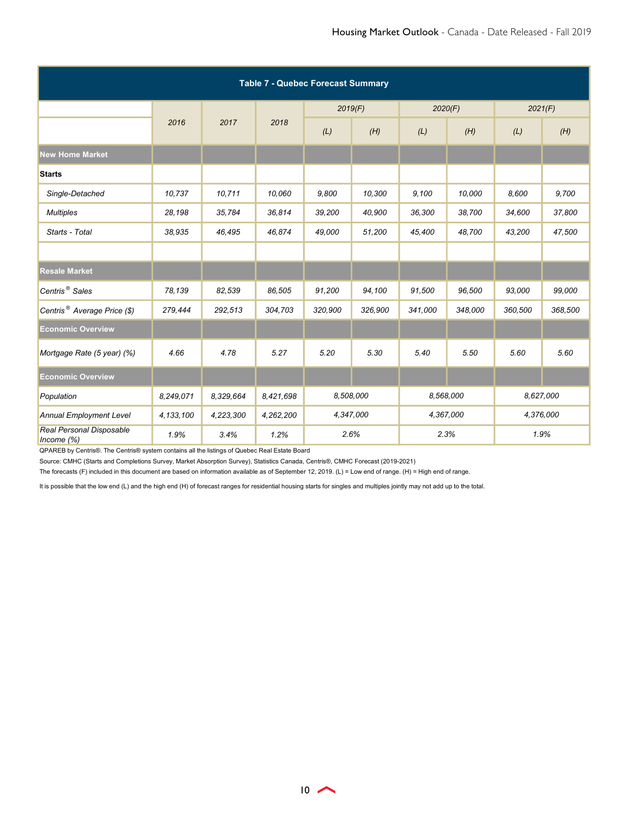| <b>Table 7 - Quebec Forecast Summary</b>  |             |           |           |           |         |           |           |           |         |  |
|-------------------------------------------|-------------|-----------|-----------|-----------|---------|-----------|-----------|-----------|---------|--|
|                                           |             |           |           | 2019(F)   |         | 2020(F)   |           | 2021(F)   |         |  |
|                                           | 2016        | 2017      | 2018      | (L)       | (H)     | (L)       | (H)       | (L)       | (H)     |  |
| <b>New Home Market</b>                    |             |           |           |           |         |           |           |           |         |  |
| <b>Starts</b>                             |             |           |           |           |         |           |           |           |         |  |
| Single-Detached                           | 10,737      | 10,711    | 10,060    | 9,800     | 10,300  | 9,100     | 10,000    | 8,600     | 9,700   |  |
| <b>Multiples</b>                          | 28,198      | 35,784    | 36,814    | 39,200    | 40,900  | 36,300    | 38,700    | 34,600    | 37,800  |  |
| Starts - Total                            | 38,935      | 46,495    | 46,874    | 49,000    | 51,200  | 45,400    | 48,700    | 43,200    | 47,500  |  |
|                                           |             |           |           |           |         |           |           |           |         |  |
| <b>Resale Market</b>                      |             |           |           |           |         |           |           |           |         |  |
| Centris <sup>®</sup> Sales                | 78,139      | 82,539    | 86,505    | 91,200    | 94,100  | 91,500    | 96,500    | 93,000    | 99,000  |  |
| Centris <sup>®</sup> Average Price (\$)   | 279,444     | 292,513   | 304,703   | 320,900   | 326,900 | 341,000   | 348,000   | 360,500   | 368,500 |  |
| <b>Economic Overview</b>                  |             |           |           |           |         |           |           |           |         |  |
| Mortgage Rate (5 year) (%)                | 4.66        | 4.78      | 5.27      | 5.20      | 5.30    | 5.40      | 5.50      | 5.60      | 5.60    |  |
| <b>Economic Overview</b>                  |             |           |           |           |         |           |           |           |         |  |
| Population                                | 8,249,071   | 8,329,664 | 8,421,698 | 8,508,000 |         |           | 8,568,000 | 8,627,000 |         |  |
| <b>Annual Employment Level</b>            | 4, 133, 100 | 4,223,300 | 4,262,200 | 4,347,000 |         | 4,367,000 |           | 4,376,000 |         |  |
| Real Personal Disposable<br>Income $(\%)$ | 1.9%        | 3.4%      | 1.2%      | 2.6%      |         | 2.3%      |           | 1.9%      |         |  |

QPAREB by Centris®. The Centris® system contains all the listings of Quebec Real Estate Board

Source: CMHC (Starts and Completions Survey, Market Absorption Survey), Statistics Canada, Centris®, CMHC Forecast (2019-2021)

The forecasts (F) included in this document are based on information available as of September 12, 2019. (L) = Low end of range. (H) = High end of range.

It is possible that the low end (L) and the high end (H) of forecast ranges for residential housing starts for singles and multiples jointly may not add up to the total.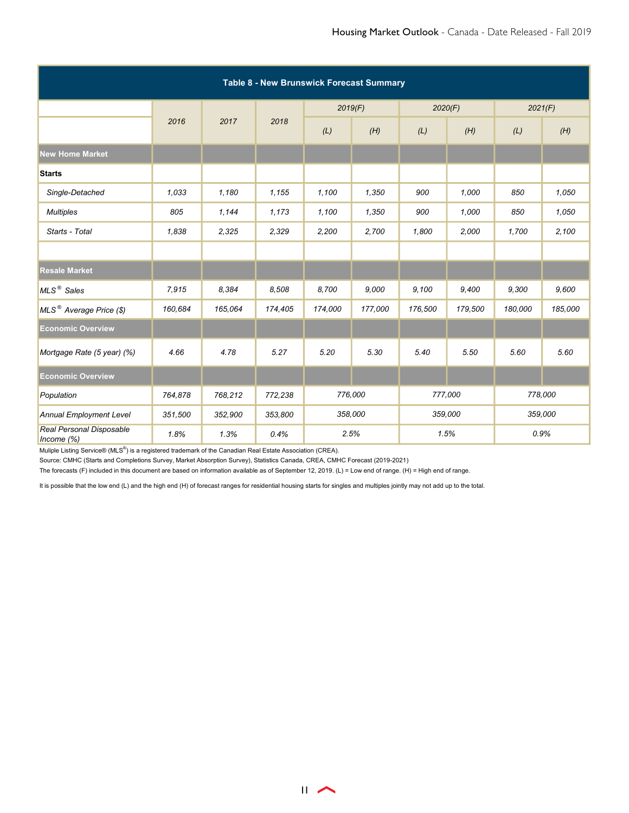| Table 8 - New Brunswick Forecast Summary  |         |         |         |         |         |         |         |         |         |  |  |
|-------------------------------------------|---------|---------|---------|---------|---------|---------|---------|---------|---------|--|--|
|                                           |         |         |         |         | 2019(F) | 2020(F) |         | 2021(F) |         |  |  |
|                                           | 2016    | 2017    | 2018    | (L)     | (H)     | (L)     | (H)     | (L)     | (H)     |  |  |
| <b>New Home Market</b>                    |         |         |         |         |         |         |         |         |         |  |  |
| <b>Starts</b>                             |         |         |         |         |         |         |         |         |         |  |  |
| Single-Detached                           | 1.033   | 1,180   | 1,155   | 1,100   | 1,350   | 900     | 1,000   | 850     | 1,050   |  |  |
| <b>Multiples</b>                          | 805     | 1,144   | 1,173   | 1,100   | 1,350   | 900     | 1,000   | 850     | 1,050   |  |  |
| Starts - Total                            | 1,838   | 2,325   | 2,329   | 2,200   | 2,700   | 1,800   | 2,000   | 1,700   | 2,100   |  |  |
|                                           |         |         |         |         |         |         |         |         |         |  |  |
| <b>Resale Market</b>                      |         |         |         |         |         |         |         |         |         |  |  |
| MLS <sup>®</sup> Sales                    | 7,915   | 8.384   | 8,508   | 8,700   | 9,000   | 9,100   | 9,400   | 9,300   | 9,600   |  |  |
| MLS <sup>®</sup> Average Price (\$)       | 160,684 | 165,064 | 174,405 | 174,000 | 177,000 | 176,500 | 179,500 | 180,000 | 185,000 |  |  |
| <b>Economic Overview</b>                  |         |         |         |         |         |         |         |         |         |  |  |
| Mortgage Rate (5 year) (%)                | 4.66    | 4.78    | 5.27    | 5.20    | 5.30    | 5.40    | 5.50    | 5.60    | 5.60    |  |  |
| <b>Economic Overview</b>                  |         |         |         |         |         |         |         |         |         |  |  |
| Population                                | 764,878 | 768,212 | 772,238 | 776,000 |         |         | 777,000 |         | 778,000 |  |  |
| <b>Annual Employment Level</b>            | 351,500 | 352,900 | 353,800 | 358,000 |         | 359,000 |         | 359,000 |         |  |  |
| Real Personal Disposable<br>Income $(\%)$ | 1.8%    | 1.3%    | 0.4%    | 2.5%    |         | 1.5%    |         | 0.9%    |         |  |  |

Source: CMHC (Starts and Completions Survey, Market Absorption Survey), Statistics Canada, CREA, CMHC Forecast (2019-2021)

The forecasts (F) included in this document are based on information available as of September 12, 2019. (L) = Low end of range. (H) = High end of range.

It is possible that the low end (L) and the high end (H) of forecast ranges for residential housing starts for singles and multiples jointly may not add up to the total.

 $\overline{11}$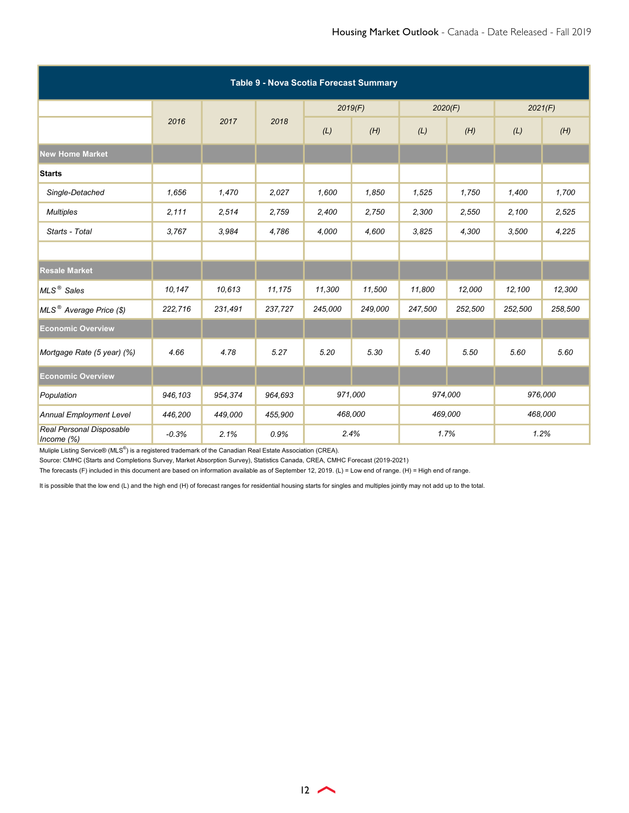| Table 9 - Nova Scotia Forecast Summary    |         |         |         |         |         |         |         |         |         |  |
|-------------------------------------------|---------|---------|---------|---------|---------|---------|---------|---------|---------|--|
|                                           |         |         |         | 2019(F) |         | 2020(F) |         | 2021(F) |         |  |
|                                           | 2016    | 2017    | 2018    | (L)     | (H)     | (L)     | (H)     | (L)     | (H)     |  |
| <b>New Home Market</b>                    |         |         |         |         |         |         |         |         |         |  |
| <b>Starts</b>                             |         |         |         |         |         |         |         |         |         |  |
| Single-Detached                           | 1,656   | 1,470   | 2,027   | 1,600   | 1,850   | 1,525   | 1,750   | 1,400   | 1,700   |  |
| <b>Multiples</b>                          | 2,111   | 2,514   | 2,759   | 2,400   | 2,750   | 2,300   | 2,550   | 2,100   | 2,525   |  |
| Starts - Total                            | 3,767   | 3,984   | 4,786   | 4,000   | 4,600   | 3,825   | 4,300   | 3,500   | 4,225   |  |
|                                           |         |         |         |         |         |         |         |         |         |  |
| <b>Resale Market</b>                      |         |         |         |         |         |         |         |         |         |  |
| MLS <sup>®</sup> Sales                    | 10,147  | 10.613  | 11,175  | 11,300  | 11,500  | 11,800  | 12,000  | 12,100  | 12,300  |  |
| MLS <sup>®</sup> Average Price (\$)       | 222,716 | 231,491 | 237,727 | 245,000 | 249,000 | 247,500 | 252,500 | 252,500 | 258,500 |  |
| <b>Economic Overview</b>                  |         |         |         |         |         |         |         |         |         |  |
| Mortgage Rate (5 year) (%)                | 4.66    | 4.78    | 5.27    | 5.20    | 5.30    | 5.40    | 5.50    | 5.60    | 5.60    |  |
| <b>Economic Overview</b>                  |         |         |         |         |         |         |         |         |         |  |
| Population                                | 946,103 | 954,374 | 964,693 | 971,000 |         | 974,000 |         | 976,000 |         |  |
| <b>Annual Employment Level</b>            | 446,200 | 449,000 | 455,900 | 468,000 |         | 469,000 |         | 468,000 |         |  |
| Real Personal Disposable<br>Income $(\%)$ | $-0.3%$ | 2.1%    | 0.9%    | 2.4%    |         | 1.7%    |         | 1.2%    |         |  |

Source: CMHC (Starts and Completions Survey, Market Absorption Survey), Statistics Canada, CREA, CMHC Forecast (2019-2021)

The forecasts (F) included in this document are based on information available as of September 12, 2019. (L) = Low end of range. (H) = High end of range.

It is possible that the low end (L) and the high end (H) of forecast ranges for residential housing starts for singles and multiples jointly may not add up to the total.

 $12 \rightarrow$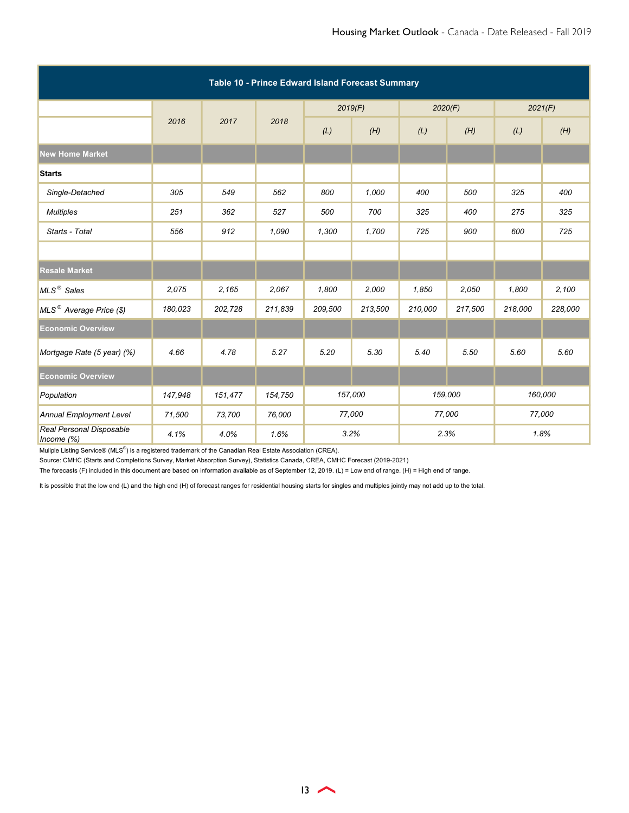| Table 10 - Prince Edward Island Forecast Summary |         |         |         |         |         |         |         |         |         |  |  |
|--------------------------------------------------|---------|---------|---------|---------|---------|---------|---------|---------|---------|--|--|
|                                                  |         |         |         |         | 2019(F) | 2020(F) |         | 2021(F) |         |  |  |
|                                                  | 2016    | 2017    | 2018    | (L)     | (H)     | (L)     | (H)     | (L)     | (H)     |  |  |
| <b>New Home Market</b>                           |         |         |         |         |         |         |         |         |         |  |  |
| <b>Starts</b>                                    |         |         |         |         |         |         |         |         |         |  |  |
| Single-Detached                                  | 305     | 549     | 562     | 800     | 1,000   | 400     | 500     | 325     | 400     |  |  |
| <b>Multiples</b>                                 | 251     | 362     | 527     | 500     | 700     | 325     | 400     | 275     | 325     |  |  |
| Starts - Total                                   | 556     | 912     | 1,090   | 1,300   | 1,700   | 725     | 900     | 600     | 725     |  |  |
|                                                  |         |         |         |         |         |         |         |         |         |  |  |
| <b>Resale Market</b>                             |         |         |         |         |         |         |         |         |         |  |  |
| MLS <sup>®</sup> Sales                           | 2,075   | 2,165   | 2,067   | 1,800   | 2,000   | 1,850   | 2,050   | 1,800   | 2,100   |  |  |
| MLS <sup>®</sup> Average Price (\$)              | 180,023 | 202,728 | 211,839 | 209,500 | 213,500 | 210,000 | 217,500 | 218,000 | 228,000 |  |  |
| <b>Economic Overview</b>                         |         |         |         |         |         |         |         |         |         |  |  |
| Mortgage Rate (5 year) (%)                       | 4.66    | 4.78    | 5.27    | 5.20    | 5.30    | 5.40    | 5.50    | 5.60    | 5.60    |  |  |
| <b>Economic Overview</b>                         |         |         |         |         |         |         |         |         |         |  |  |
| Population                                       | 147,948 | 151,477 | 154,750 | 157,000 |         |         | 159,000 |         | 160,000 |  |  |
| <b>Annual Employment Level</b>                   | 71,500  | 73,700  | 76,000  | 77,000  |         | 77,000  |         | 77,000  |         |  |  |
| Real Personal Disposable<br>Income $(\%)$        | 4.1%    | 4.0%    | 1.6%    | 3.2%    |         | 2.3%    |         | 1.8%    |         |  |  |

Source: CMHC (Starts and Completions Survey, Market Absorption Survey), Statistics Canada, CREA, CMHC Forecast (2019-2021)

The forecasts (F) included in this document are based on information available as of September 12, 2019. (L) = Low end of range. (H) = High end of range.

It is possible that the low end (L) and the high end (H) of forecast ranges for residential housing starts for singles and multiples jointly may not add up to the total.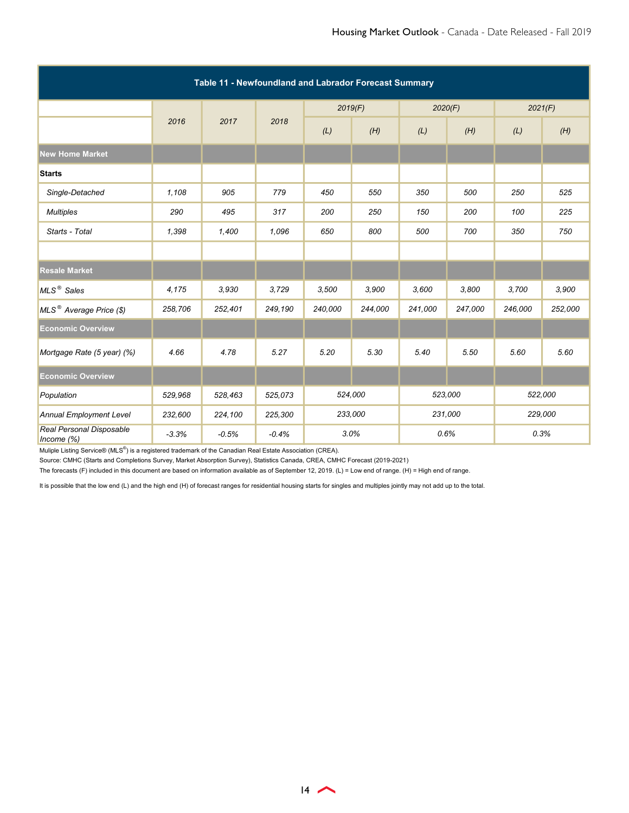| Table 11 - Newfoundland and Labrador Forecast Summary |         |         |         |         |         |         |         |         |         |  |
|-------------------------------------------------------|---------|---------|---------|---------|---------|---------|---------|---------|---------|--|
|                                                       |         |         |         | 2019(F) |         | 2020(F) |         | 2021(F) |         |  |
|                                                       | 2016    | 2017    | 2018    | (L)     | (H)     | (L)     | (H)     | (L)     | (H)     |  |
| <b>New Home Market</b>                                |         |         |         |         |         |         |         |         |         |  |
| <b>Starts</b>                                         |         |         |         |         |         |         |         |         |         |  |
| Single-Detached                                       | 1,108   | 905     | 779     | 450     | 550     | 350     | 500     | 250     | 525     |  |
| <b>Multiples</b>                                      | 290     | 495     | 317     | 200     | 250     | 150     | 200     | 100     | 225     |  |
| Starts - Total                                        | 1,398   | 1,400   | 1,096   | 650     | 800     | 500     | 700     | 350     | 750     |  |
|                                                       |         |         |         |         |         |         |         |         |         |  |
| <b>Resale Market</b>                                  |         |         |         |         |         |         |         |         |         |  |
| MLS <sup>®</sup> Sales                                | 4,175   | 3.930   | 3,729   | 3,500   | 3,900   | 3,600   | 3,800   | 3,700   | 3,900   |  |
| MLS <sup>®</sup> Average Price (\$)                   | 258,706 | 252,401 | 249,190 | 240,000 | 244,000 | 241,000 | 247,000 | 246,000 | 252,000 |  |
| <b>Economic Overview</b>                              |         |         |         |         |         |         |         |         |         |  |
| Mortgage Rate (5 year) (%)                            | 4.66    | 4.78    | 5.27    | 5.20    | 5.30    | 5.40    | 5.50    | 5.60    | 5.60    |  |
| <b>Economic Overview</b>                              |         |         |         |         |         |         |         |         |         |  |
| Population                                            | 529,968 | 528,463 | 525,073 | 524,000 |         | 523,000 |         |         | 522,000 |  |
| <b>Annual Employment Level</b>                        | 232,600 | 224,100 | 225,300 | 233,000 |         | 231,000 |         | 229,000 |         |  |
| Real Personal Disposable<br>Income $(\%)$             | $-3.3%$ | $-0.5%$ | $-0.4%$ | 3.0%    |         | 0.6%    |         | 0.3%    |         |  |

Source: CMHC (Starts and Completions Survey, Market Absorption Survey), Statistics Canada, CREA, CMHC Forecast (2019-2021)

The forecasts (F) included in this document are based on information available as of September 12, 2019. (L) = Low end of range. (H) = High end of range.

It is possible that the low end (L) and the high end (H) of forecast ranges for residential housing starts for singles and multiples jointly may not add up to the total.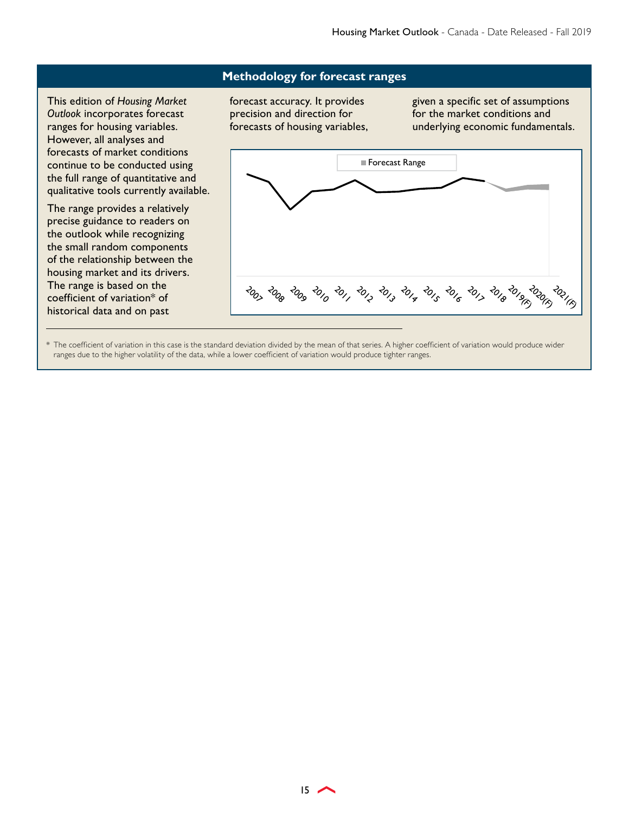#### **Methodology for forecast ranges**

This edition of *Housing Market Outlook* incorporates forecast ranges for housing variables. However, all analyses and forecasts of market conditions continue to be conducted using the full range of quantitative and qualitative tools currently available.

The range provides a relatively precise guidance to readers on the outlook while recognizing the small random components of the relationship between the housing market and its drivers. The range is based on the coefficient of variation\* of historical data and on past

forecast accuracy. It provides precision and direction for forecasts of housing variables, given a specific set of assumptions for the market conditions and underlying economic fundamentals.



\* The coefficient of variation in this case is the standard deviation divided by the mean of that series. A higher coefficient of variation would produce wider ranges due to the higher volatility of the data, while a lower coefficient of variation would produce tighter ranges.

 $15$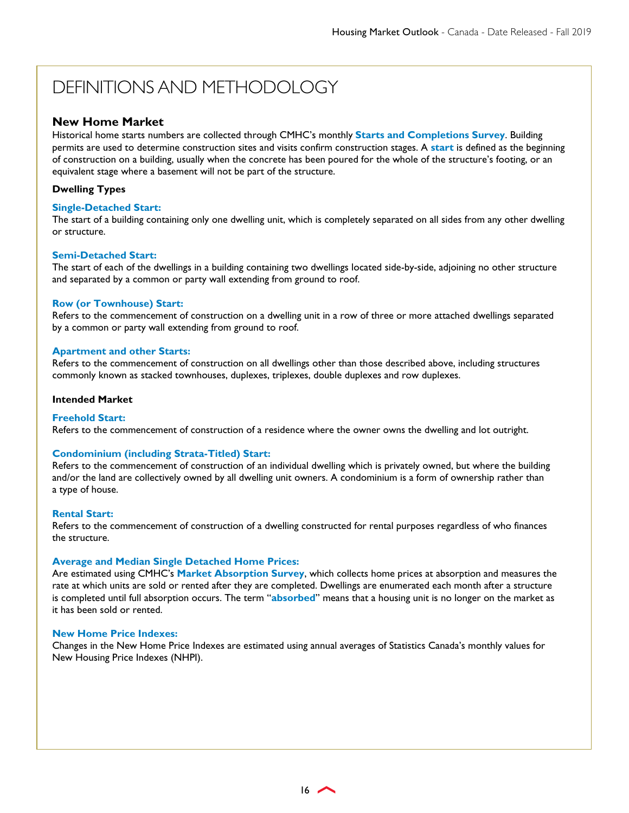# DEFINITIONS AND METHODOLOGY

#### **New Home Market**

Historical home starts numbers are collected through CMHC's monthly **Starts and Completions Survey**. Building permits are used to determine construction sites and visits confirm construction stages. A **start** is defined as the beginning of construction on a building, usually when the concrete has been poured for the whole of the structure's footing, or an equivalent stage where a basement will not be part of the structure.

#### **Dwelling Types**

#### **Single-Detached Start:**

The start of a building containing only one dwelling unit, which is completely separated on all sides from any other dwelling or structure.

#### **Semi-Detached Start:**

The start of each of the dwellings in a building containing two dwellings located side-by-side, adjoining no other structure and separated by a common or party wall extending from ground to roof.

#### **Row (or Townhouse) Start:**

Refers to the commencement of construction on a dwelling unit in a row of three or more attached dwellings separated by a common or party wall extending from ground to roof.

#### **Apartment and other Starts:**

Refers to the commencement of construction on all dwellings other than those described above, including structures commonly known as stacked townhouses, duplexes, triplexes, double duplexes and row duplexes.

#### **Intended Market**

#### **Freehold Start:**

Refers to the commencement of construction of a residence where the owner owns the dwelling and lot outright.

#### **Condominium (including Strata-Titled) Start:**

Refers to the commencement of construction of an individual dwelling which is privately owned, but where the building and/or the land are collectively owned by all dwelling unit owners. A condominium is a form of ownership rather than a type of house.

#### **Rental Start:**

Refers to the commencement of construction of a dwelling constructed for rental purposes regardless of who finances the structure.

#### **Average and Median Single Detached Home Prices:**

Are estimated using CMHC's **Market Absorption Survey**, which collects home prices at absorption and measures the rate at which units are sold or rented after they are completed. Dwellings are enumerated each month after a structure is completed until full absorption occurs. The term "**absorbed**" means that a housing unit is no longer on the market as it has been sold or rented.

#### **New Home Price Indexes:**

Changes in the New Home Price Indexes are estimated using annual averages of Statistics Canada's monthly values for New Housing Price Indexes (NHPI).

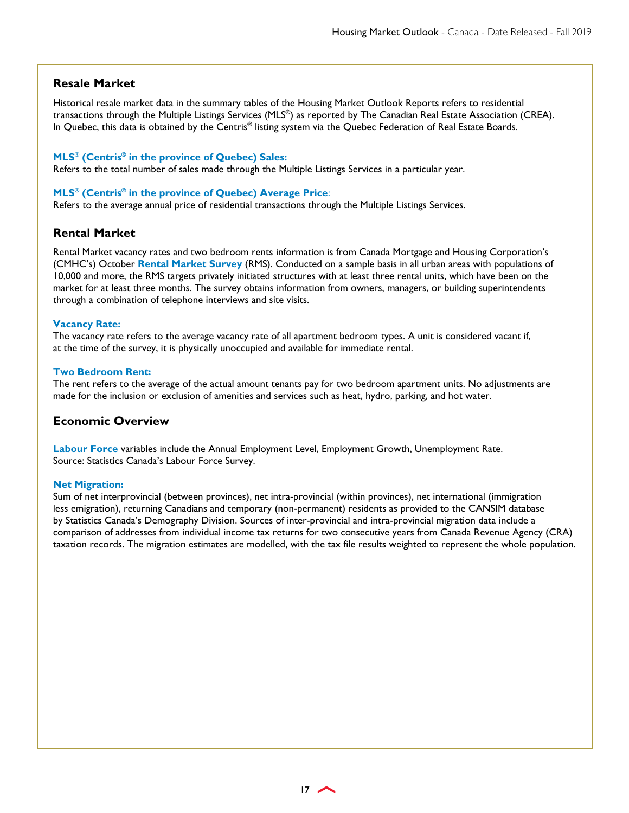#### **Resale Market**

Historical resale market data in the summary tables of the Housing Market Outlook Reports refers to residential transactions through the Multiple Listings Services (MLS®) as reported by The Canadian Real Estate Association (CREA). In Quebec, this data is obtained by the Centris® listing system via the Quebec Federation of Real Estate Boards.

#### **MLS® (Centris® in the province of Quebec) Sales:**

Refers to the total number of sales made through the Multiple Listings Services in a particular year.

#### **MLS® (Centris® in the province of Quebec) Average Price**:

Refers to the average annual price of residential transactions through the Multiple Listings Services.

#### **Rental Market**

Rental Market vacancy rates and two bedroom rents information is from Canada Mortgage and Housing Corporation's (CMHC's) October **Rental Market Survey** (RMS). Conducted on a sample basis in all urban areas with populations of 10,000 and more, the RMS targets privately initiated structures with at least three rental units, which have been on the market for at least three months. The survey obtains information from owners, managers, or building superintendents through a combination of telephone interviews and site visits.

#### **Vacancy Rate:**

The vacancy rate refers to the average vacancy rate of all apartment bedroom types. A unit is considered vacant if, at the time of the survey, it is physically unoccupied and available for immediate rental.

#### **Two Bedroom Rent:**

The rent refers to the average of the actual amount tenants pay for two bedroom apartment units. No adjustments are made for the inclusion or exclusion of amenities and services such as heat, hydro, parking, and hot water.

#### **Economic Overview**

**Labour Force** variables include the Annual Employment Level, Employment Growth, Unemployment Rate. Source: Statistics Canada's Labour Force Survey.

#### **Net Migration:**

Sum of net interprovincial (between provinces), net intra-provincial (within provinces), net international (immigration less emigration), returning Canadians and temporary (non-permanent) residents as provided to the CANSIM database by Statistics Canada's Demography Division. Sources of inter-provincial and intra-provincial migration data include a comparison of addresses from individual income tax returns for two consecutive years from Canada Revenue Agency (CRA) taxation records. The migration estimates are modelled, with the tax file results weighted to represent the whole population.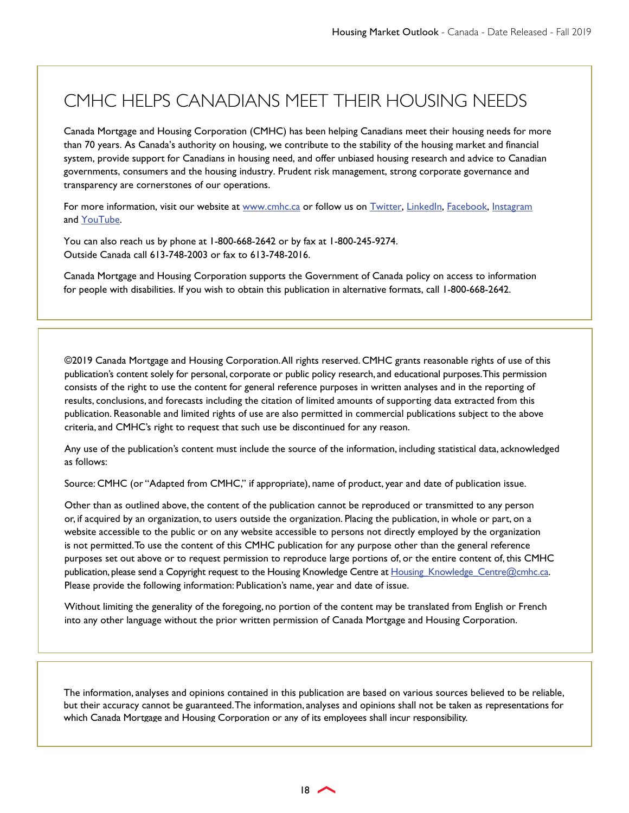# CMHC HELPS CANADIANS MEET THEIR HOUSING NEEDS

Canada Mortgage and Housing Corporation (CMHC) has been helping Canadians meet their housing needs for more than 70 years. As Canada's authority on housing, we contribute to the stability of the housing market and financial system, provide support for Canadians in housing need, and offer unbiased housing research and advice to Canadian governments, consumers and the housing industry. Prudent risk management, strong corporate governance and transparency are cornerstones of our operations.

For more information, visit our website a[t www.cmhc.ca o](http://www.cmhc.ca/)r follow us o[n Twitter](http://twitter.com/CMHC_ca)[, LinkedIn](http://www.linkedin.com/company/canada-mortgage-and-housing-corporation)[, Facebook,](https://www.facebook.com/cmhc.schl) Instagram an[d YouTube.](http://www.youtube.com/CMHCca) 

You can also reach us by phone at 1-800-668-2642 or by fax at 1-800-245-9274. Outside Canada call 613-748-2003 or fax to 613-748-2016.

Canada Mortgage and Housing Corporation supports the Government of Canada policy on access to information for people with disabilities. If you wish to obtain this publication in alternative formats, call 1-800-668-2642.

©2019 Canada Mortgage and Housing Corporation. All rights reserved. CMHC grants reasonable rights of use of this publication's content solely for personal, corporate or public policy research, and educational purposes. This permission consists of the right to use the content for general reference purposes in written analyses and in the reporting of results, conclusions, and forecasts including the citation of limited amounts of supporting data extracted from this publication. Reasonable and limited rights of use are also permitted in commercial publications subject to the above criteria, and CMHC's right to request that such use be discontinued for any reason.

Any use of the publication's content must include the source of the information, including statistical data, acknowledged as follows:

Source: CMHC (or "Adapted from CMHC," if appropriate), name of product, year and date of publication issue.

Other than as outlined above, the content of the publication cannot be reproduced or transmitted to any person or, if acquired by an organization, to users outside the organization. Placing the publication, in whole or part, on a website accessible to the public or on any website accessible to persons not directly employed by the organization is not permitted. To use the content of this CMHC publication for any purpose other than the general reference purposes set out above or to request permission to reproduce large portions of, or the entire content of, this CMHC publication, please send a Copyright request to the Housing Knowledge Centre at Housing\_Knowledge\_Centre@cmhc.ca. Please provide the following information: Publication's name, year and date of issue.

Without limiting the generality of the foregoing, no portion of the content may be translated from English or French into any other language without the prior written permission of Canada Mortgage and Housing Corporation.

The information, analyses and opinions contained in this publication are based on various sources believed to be reliable, but their accuracy cannot be guaranteed. The information, analyses and opinions shall not be taken as representations for which Canada Mortgage and Housing Corporation or any of its employees shall incur responsibility.